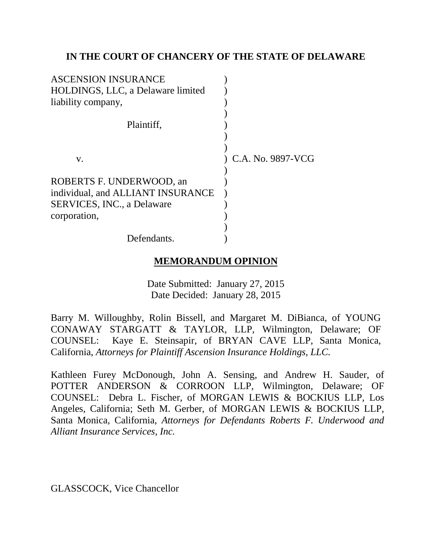## **IN THE COURT OF CHANCERY OF THE STATE OF DELAWARE**

| <b>ASCENSION INSURANCE</b>        |                   |
|-----------------------------------|-------------------|
| HOLDINGS, LLC, a Delaware limited |                   |
| liability company,                |                   |
|                                   |                   |
| Plaintiff.                        |                   |
|                                   |                   |
|                                   |                   |
| V.                                | C.A. No. 9897-VCG |
|                                   |                   |
| ROBERTS F. UNDERWOOD, an          |                   |
| individual, and ALLIANT INSURANCE |                   |
| <b>SERVICES, INC., a Delaware</b> |                   |
| corporation,                      |                   |
|                                   |                   |
| Defendants.                       |                   |

# **MEMORANDUM OPINION**

Date Submitted: January 27, 2015 Date Decided: January 28, 2015

Barry M. Willoughby, Rolin Bissell, and Margaret M. DiBianca, of YOUNG CONAWAY STARGATT & TAYLOR, LLP, Wilmington, Delaware; OF COUNSEL: Kaye E. Steinsapir, of BRYAN CAVE LLP, Santa Monica, California, *Attorneys for Plaintiff Ascension Insurance Holdings, LLC.*

Kathleen Furey McDonough, John A. Sensing, and Andrew H. Sauder, of POTTER ANDERSON & CORROON LLP, Wilmington, Delaware; OF COUNSEL: Debra L. Fischer, of MORGAN LEWIS & BOCKIUS LLP, Los Angeles, California; Seth M. Gerber, of MORGAN LEWIS & BOCKIUS LLP, Santa Monica, California, *Attorneys for Defendants Roberts F. Underwood and Alliant Insurance Services, Inc.*

GLASSCOCK, Vice Chancellor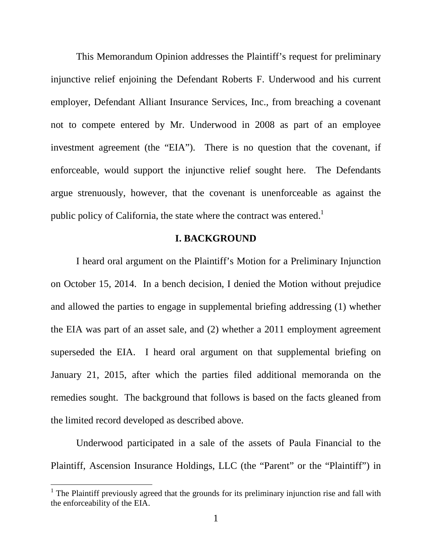This Memorandum Opinion addresses the Plaintiff's request for preliminary injunctive relief enjoining the Defendant Roberts F. Underwood and his current employer, Defendant Alliant Insurance Services, Inc., from breaching a covenant not to compete entered by Mr. Underwood in 2008 as part of an employee investment agreement (the "EIA"). There is no question that the covenant, if enforceable, would support the injunctive relief sought here. The Defendants argue strenuously, however, that the covenant is unenforceable as against the public policy of California, the state where the contract was entered.<sup>1</sup>

### **I. BACKGROUND**

I heard oral argument on the Plaintiff's Motion for a Preliminary Injunction on October 15, 2014. In a bench decision, I denied the Motion without prejudice and allowed the parties to engage in supplemental briefing addressing (1) whether the EIA was part of an asset sale, and (2) whether a 2011 employment agreement superseded the EIA. I heard oral argument on that supplemental briefing on January 21, 2015, after which the parties filed additional memoranda on the remedies sought. The background that follows is based on the facts gleaned from the limited record developed as described above.

Underwood participated in a sale of the assets of Paula Financial to the Plaintiff, Ascension Insurance Holdings, LLC (the "Parent" or the "Plaintiff") in

<sup>&</sup>lt;sup>1</sup> The Plaintiff previously agreed that the grounds for its preliminary injunction rise and fall with the enforceability of the EIA.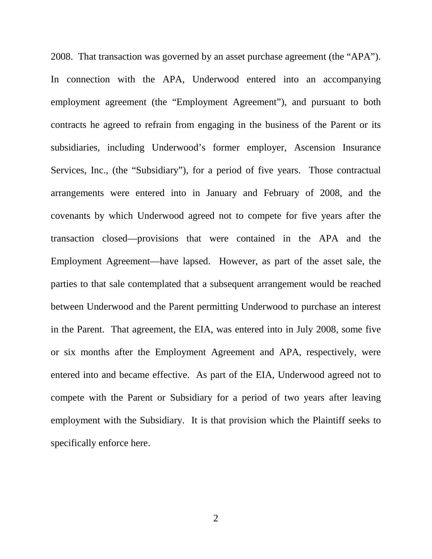2008. That transaction was governed by an asset purchase agreement (the "APA"). In connection with the APA, Underwood entered into an accompanying employment agreement (the "Employment Agreement"), and pursuant to both contracts he agreed to refrain from engaging in the business of the Parent or its subsidiaries, including Underwood's former employer, Ascension Insurance Services, Inc., (the "Subsidiary"), for a period of five years. Those contractual arrangements were entered into in January and February of 2008, and the covenants by which Underwood agreed not to compete for five years after the transaction closed—provisions that were contained in the APA and the Employment Agreement—have lapsed. However, as part of the asset sale, the parties to that sale contemplated that a subsequent arrangement would be reached between Underwood and the Parent permitting Underwood to purchase an interest in the Parent. That agreement, the EIA, was entered into in July 2008, some five or six months after the Employment Agreement and APA, respectively, were entered into and became effective. As part of the EIA, Underwood agreed not to compete with the Parent or Subsidiary for a period of two years after leaving employment with the Subsidiary. It is that provision which the Plaintiff seeks to specifically enforce here.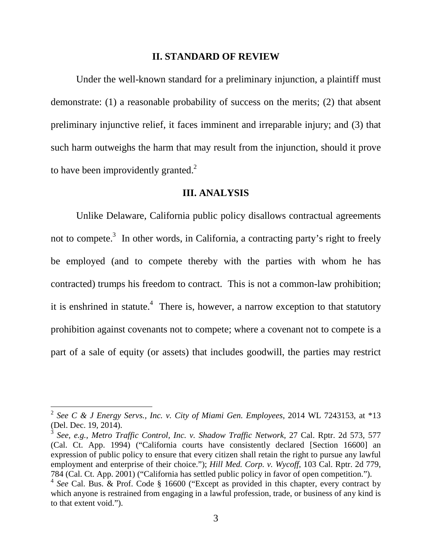### **II. STANDARD OF REVIEW**

 Under the well-known standard for a preliminary injunction, a plaintiff must demonstrate: (1) a reasonable probability of success on the merits; (2) that absent preliminary injunctive relief, it faces imminent and irreparable injury; and (3) that such harm outweighs the harm that may result from the injunction, should it prove to have been improvidently granted. $^{2}$ 

### **III. ANALYSIS**

 Unlike Delaware, California public policy disallows contractual agreements not to compete.<sup>3</sup> In other words, in California, a contracting party's right to freely be employed (and to compete thereby with the parties with whom he has contracted) trumps his freedom to contract. This is not a common-law prohibition; it is enshrined in statute.<sup>4</sup> There is, however, a narrow exception to that statutory prohibition against covenants not to compete; where a covenant not to compete is a part of a sale of equity (or assets) that includes goodwill, the parties may restrict

-

<sup>2</sup> *See C & J Energy Servs., Inc. v. City of Miami Gen. Employees*, 2014 WL 7243153, at \*13 (Del. Dec. 19, 2014).

<sup>3</sup> *See, e.g.*, *Metro Traffic Control, Inc. v. Shadow Traffic Network,* 27 Cal. Rptr. 2d 573, 577 (Cal. Ct. App. 1994) ("California courts have consistently declared [Section 16600] an expression of public policy to ensure that every citizen shall retain the right to pursue any lawful employment and enterprise of their choice."); *Hill Med. Corp. v. Wycoff*, 103 Cal. Rptr. 2d 779, 784 (Cal. Ct. App. 2001) ("California has settled public policy in favor of open competition.").

<sup>&</sup>lt;sup>4</sup> See Cal. Bus. & Prof. Code § 16600 ("Except as provided in this chapter, every contract by which anyone is restrained from engaging in a lawful profession, trade, or business of any kind is to that extent void.").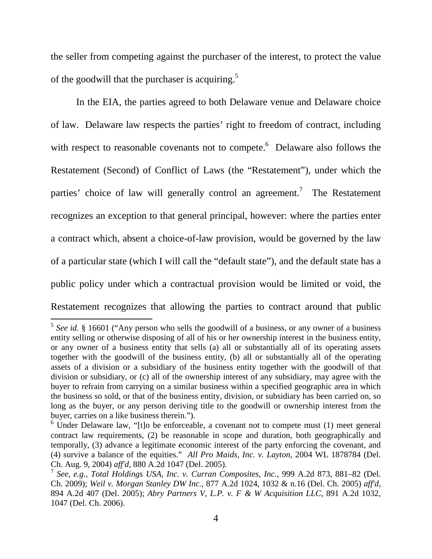the seller from competing against the purchaser of the interest, to protect the value of the goodwill that the purchaser is acquiring.<sup>5</sup>

 In the EIA, the parties agreed to both Delaware venue and Delaware choice of law. Delaware law respects the parties' right to freedom of contract, including with respect to reasonable covenants not to compete.<sup>6</sup> Delaware also follows the Restatement (Second) of Conflict of Laws (the "Restatement"), under which the parties' choice of law will generally control an agreement.<sup>7</sup> The Restatement recognizes an exception to that general principal, however: where the parties enter a contract which, absent a choice-of-law provision, would be governed by the law of a particular state (which I will call the "default state"), and the default state has a public policy under which a contractual provision would be limited or void, the Restatement recognizes that allowing the parties to contract around that public

<sup>&</sup>lt;sup>5</sup> See id. § 16601 ("Any person who sells the goodwill of a business, or any owner of a business entity selling or otherwise disposing of all of his or her ownership interest in the business entity, or any owner of a business entity that sells (a) all or substantially all of its operating assets together with the goodwill of the business entity, (b) all or substantially all of the operating assets of a division or a subsidiary of the business entity together with the goodwill of that division or subsidiary, or (c) all of the ownership interest of any subsidiary, may agree with the buyer to refrain from carrying on a similar business within a specified geographic area in which the business so sold, or that of the business entity, division, or subsidiary has been carried on, so long as the buyer, or any person deriving title to the goodwill or ownership interest from the buyer, carries on a like business therein.").

 $6$  Under Delaware law, "[t]o be enforceable, a covenant not to compete must (1) meet general contract law requirements, (2) be reasonable in scope and duration, both geographically and temporally, (3) advance a legitimate economic interest of the party enforcing the covenant, and (4) survive a balance of the equities." *All Pro Maids, Inc. v. Layton*, 2004 WL 1878784 (Del. Ch. Aug. 9, 2004) *aff'd*, 880 A.2d 1047 (Del. 2005).

<sup>7</sup> *See, e.g.*, *Total Holdings USA, Inc. v. Curran Composites, Inc.*, 999 A.2d 873, 881–82 (Del. Ch. 2009); *Weil v. Morgan Stanley DW Inc.*, 877 A.2d 1024, 1032 & n.16 (Del. Ch. 2005) *aff'd*, 894 A.2d 407 (Del. 2005); *Abry Partners V, L.P. v. F & W Acquisition LLC*, 891 A.2d 1032, 1047 (Del. Ch. 2006).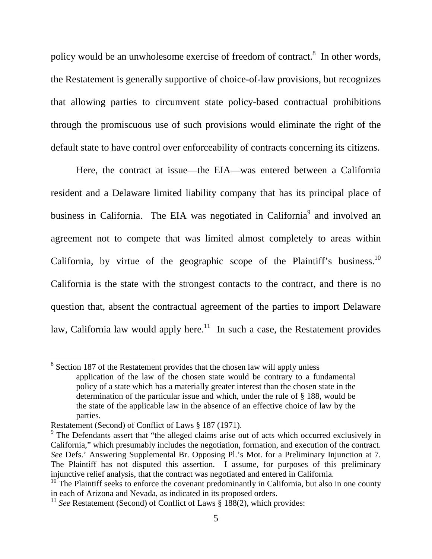policy would be an unwholesome exercise of freedom of contract.<sup>8</sup> In other words, the Restatement is generally supportive of choice-of-law provisions, but recognizes that allowing parties to circumvent state policy-based contractual prohibitions through the promiscuous use of such provisions would eliminate the right of the default state to have control over enforceability of contracts concerning its citizens.

Here, the contract at issue—the EIA—was entered between a California resident and a Delaware limited liability company that has its principal place of business in California. The EIA was negotiated in California<sup>9</sup> and involved an agreement not to compete that was limited almost completely to areas within California, by virtue of the geographic scope of the Plaintiff's business.<sup>10</sup> California is the state with the strongest contacts to the contract, and there is no question that, absent the contractual agreement of the parties to import Delaware law, California law would apply here.<sup>11</sup> In such a case, the Restatement provides

<sup>&</sup>lt;sup>8</sup> Section 187 of the Restatement provides that the chosen law will apply unless application of the law of the chosen state would be contrary to a fundamental policy of a state which has a materially greater interest than the chosen state in the determination of the particular issue and which, under the rule of § 188, would be the state of the applicable law in the absence of an effective choice of law by the parties.

Restatement (Second) of Conflict of Laws § 187 (1971).

<sup>&</sup>lt;sup>9</sup> The Defendants assert that "the alleged claims arise out of acts which occurred exclusively in California," which presumably includes the negotiation, formation, and execution of the contract. *See* Defs.' Answering Supplemental Br. Opposing Pl.'s Mot. for a Preliminary Injunction at 7. The Plaintiff has not disputed this assertion. I assume, for purposes of this preliminary injunctive relief analysis, that the contract was negotiated and entered in California.

 $10$ <sup>10</sup> The Plaintiff seeks to enforce the covenant predominantly in California, but also in one county in each of Arizona and Nevada, as indicated in its proposed orders.

<sup>&</sup>lt;sup>11</sup> *See* Restatement (Second) of Conflict of Laws  $\hat{\S}$  188(2), which provides: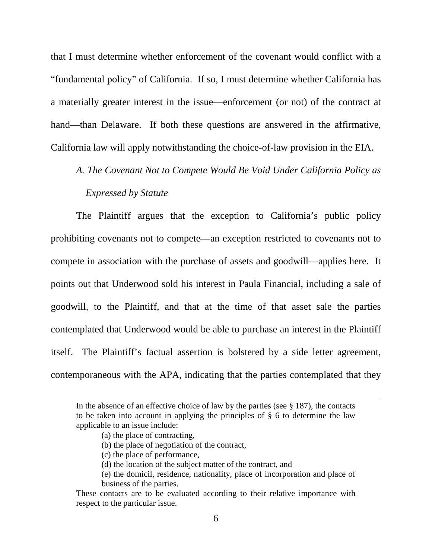that I must determine whether enforcement of the covenant would conflict with a "fundamental policy" of California. If so, I must determine whether California has a materially greater interest in the issue—enforcement (or not) of the contract at hand—than Delaware. If both these questions are answered in the affirmative, California law will apply notwithstanding the choice-of-law provision in the EIA.

# *A. The Covenant Not to Compete Would Be Void Under California Policy as Expressed by Statute*

The Plaintiff argues that the exception to California's public policy prohibiting covenants not to compete—an exception restricted to covenants not to compete in association with the purchase of assets and goodwill—applies here. It points out that Underwood sold his interest in Paula Financial, including a sale of goodwill, to the Plaintiff, and that at the time of that asset sale the parties contemplated that Underwood would be able to purchase an interest in the Plaintiff itself. The Plaintiff's factual assertion is bolstered by a side letter agreement, contemporaneous with the APA, indicating that the parties contemplated that they

In the absence of an effective choice of law by the parties (see  $\S$  187), the contacts to be taken into account in applying the principles of § 6 to determine the law applicable to an issue include:

<sup>(</sup>a) the place of contracting,

<sup>(</sup>b) the place of negotiation of the contract,

<sup>(</sup>c) the place of performance,

<sup>(</sup>d) the location of the subject matter of the contract, and

<sup>(</sup>e) the domicil, residence, nationality, place of incorporation and place of business of the parties.

These contacts are to be evaluated according to their relative importance with respect to the particular issue.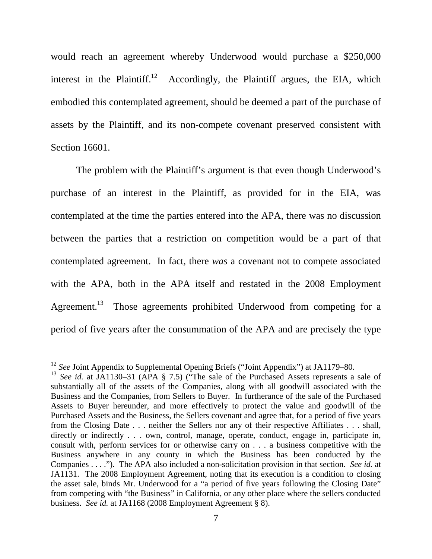would reach an agreement whereby Underwood would purchase a \$250,000 interest in the Plaintiff.<sup>12</sup> Accordingly, the Plaintiff argues, the EIA, which embodied this contemplated agreement, should be deemed a part of the purchase of assets by the Plaintiff, and its non-compete covenant preserved consistent with Section 16601.

 The problem with the Plaintiff's argument is that even though Underwood's purchase of an interest in the Plaintiff, as provided for in the EIA, was contemplated at the time the parties entered into the APA, there was no discussion between the parties that a restriction on competition would be a part of that contemplated agreement. In fact, there *was* a covenant not to compete associated with the APA, both in the APA itself and restated in the 2008 Employment Agreement.<sup>13</sup> Those agreements prohibited Underwood from competing for a period of five years after the consummation of the APA and are precisely the type

-

<sup>&</sup>lt;sup>12</sup> See Joint Appendix to Supplemental Opening Briefs ("Joint Appendix") at JA1179–80.

<sup>&</sup>lt;sup>13</sup> *See id.* at JA1130–31 (APA § 7.5) ("The sale of the Purchased Assets represents a sale of substantially all of the assets of the Companies, along with all goodwill associated with the Business and the Companies, from Sellers to Buyer. In furtherance of the sale of the Purchased Assets to Buyer hereunder, and more effectively to protect the value and goodwill of the Purchased Assets and the Business, the Sellers covenant and agree that, for a period of five years from the Closing Date . . . neither the Sellers nor any of their respective Affiliates . . . shall, directly or indirectly . . . own, control, manage, operate, conduct, engage in, participate in, consult with, perform services for or otherwise carry on . . . a business competitive with the Business anywhere in any county in which the Business has been conducted by the Companies . . . ."). The APA also included a non-solicitation provision in that section. *See id.* at JA1131. The 2008 Employment Agreement, noting that its execution is a condition to closing the asset sale, binds Mr. Underwood for a "a period of five years following the Closing Date" from competing with "the Business" in California, or any other place where the sellers conducted business. *See id.* at JA1168 (2008 Employment Agreement § 8).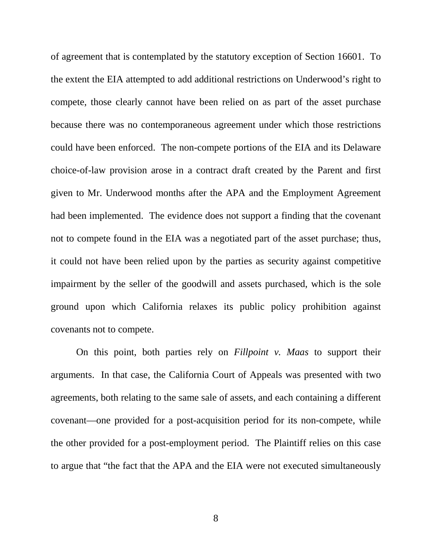of agreement that is contemplated by the statutory exception of Section 16601. To the extent the EIA attempted to add additional restrictions on Underwood's right to compete, those clearly cannot have been relied on as part of the asset purchase because there was no contemporaneous agreement under which those restrictions could have been enforced. The non-compete portions of the EIA and its Delaware choice-of-law provision arose in a contract draft created by the Parent and first given to Mr. Underwood months after the APA and the Employment Agreement had been implemented. The evidence does not support a finding that the covenant not to compete found in the EIA was a negotiated part of the asset purchase; thus, it could not have been relied upon by the parties as security against competitive impairment by the seller of the goodwill and assets purchased, which is the sole ground upon which California relaxes its public policy prohibition against covenants not to compete.

 On this point, both parties rely on *Fillpoint v. Maas* to support their arguments. In that case, the California Court of Appeals was presented with two agreements, both relating to the same sale of assets, and each containing a different covenant—one provided for a post-acquisition period for its non-compete, while the other provided for a post-employment period. The Plaintiff relies on this case to argue that "the fact that the APA and the EIA were not executed simultaneously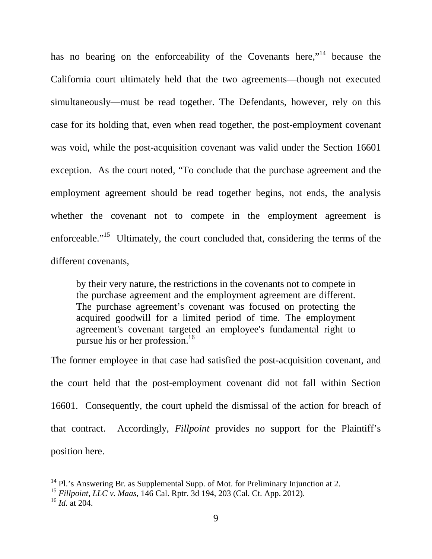has no bearing on the enforceability of the Covenants here,"<sup>14</sup> because the California court ultimately held that the two agreements—though not executed simultaneously—must be read together. The Defendants, however, rely on this case for its holding that, even when read together, the post-employment covenant was void, while the post-acquisition covenant was valid under the Section 16601 exception. As the court noted, "To conclude that the purchase agreement and the employment agreement should be read together begins, not ends, the analysis whether the covenant not to compete in the employment agreement is enforceable."<sup>15</sup> Ultimately, the court concluded that, considering the terms of the different covenants,

by their very nature, the restrictions in the covenants not to compete in the purchase agreement and the employment agreement are different. The purchase agreement's covenant was focused on protecting the acquired goodwill for a limited period of time. The employment agreement's covenant targeted an employee's fundamental right to pursue his or her profession.<sup>16</sup>

The former employee in that case had satisfied the post-acquisition covenant, and the court held that the post-employment covenant did not fall within Section 16601. Consequently, the court upheld the dismissal of the action for breach of that contract. Accordingly, *Fillpoint* provides no support for the Plaintiff's position here.

 $14$  Pl.'s Answering Br. as Supplemental Supp. of Mot. for Preliminary Injunction at 2.

<sup>15</sup> *Fillpoint, LLC v. Maas*, 146 Cal. Rptr. 3d 194, 203 (Cal. Ct. App. 2012).

<sup>16</sup> *Id.* at 204.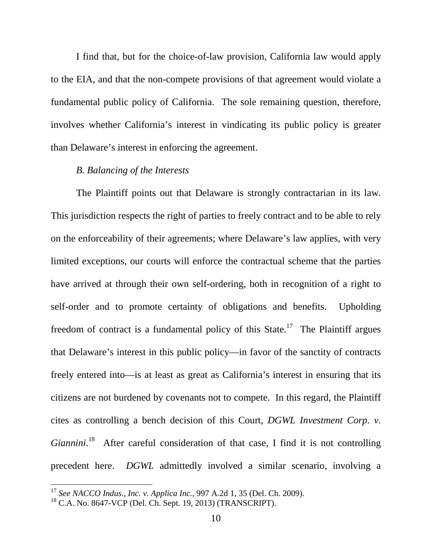I find that, but for the choice-of-law provision, California law would apply to the EIA, and that the non-compete provisions of that agreement would violate a fundamental public policy of California. The sole remaining question, therefore, involves whether California's interest in vindicating its public policy is greater than Delaware's interest in enforcing the agreement.

### *B. Balancing of the Interests*

The Plaintiff points out that Delaware is strongly contractarian in its law. This jurisdiction respects the right of parties to freely contract and to be able to rely on the enforceability of their agreements; where Delaware's law applies, with very limited exceptions, our courts will enforce the contractual scheme that the parties have arrived at through their own self-ordering, both in recognition of a right to self-order and to promote certainty of obligations and benefits. Upholding freedom of contract is a fundamental policy of this State.<sup>17</sup> The Plaintiff argues that Delaware's interest in this public policy—in favor of the sanctity of contracts freely entered into—is at least as great as California's interest in ensuring that its citizens are not burdened by covenants not to compete. In this regard, the Plaintiff cites as controlling a bench decision of this Court, *DGWL Investment Corp. v.*  Giannini.<sup>18</sup> After careful consideration of that case, I find it is not controlling precedent here. *DGWL* admittedly involved a similar scenario, involving a

<sup>17</sup> *See NACCO Indus., Inc. v. Applica Inc.*, 997 A.2d 1, 35 (Del. Ch. 2009).

 $18$  C.A. No. 8647-VCP (Del. Ch. Sept. 19, 2013) (TRANSCRIPT).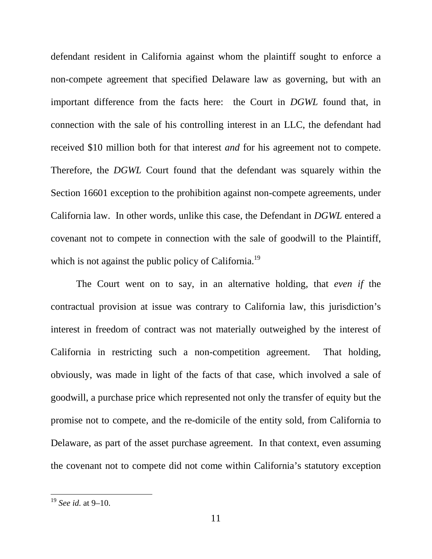defendant resident in California against whom the plaintiff sought to enforce a non-compete agreement that specified Delaware law as governing, but with an important difference from the facts here: the Court in *DGWL* found that, in connection with the sale of his controlling interest in an LLC, the defendant had received \$10 million both for that interest *and* for his agreement not to compete. Therefore, the *DGWL* Court found that the defendant was squarely within the Section 16601 exception to the prohibition against non-compete agreements, under California law. In other words, unlike this case, the Defendant in *DGWL* entered a covenant not to compete in connection with the sale of goodwill to the Plaintiff, which is not against the public policy of California.<sup>19</sup>

 The Court went on to say, in an alternative holding, that *even if* the contractual provision at issue was contrary to California law, this jurisdiction's interest in freedom of contract was not materially outweighed by the interest of California in restricting such a non-competition agreement. That holding, obviously, was made in light of the facts of that case, which involved a sale of goodwill, a purchase price which represented not only the transfer of equity but the promise not to compete, and the re-domicile of the entity sold, from California to Delaware, as part of the asset purchase agreement. In that context, even assuming the covenant not to compete did not come within California's statutory exception

<sup>19</sup> *See id.* at 9–10.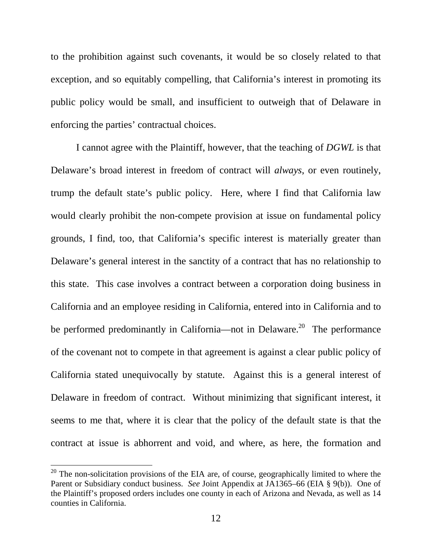to the prohibition against such covenants, it would be so closely related to that exception, and so equitably compelling, that California's interest in promoting its public policy would be small, and insufficient to outweigh that of Delaware in enforcing the parties' contractual choices.

 I cannot agree with the Plaintiff, however, that the teaching of *DGWL* is that Delaware's broad interest in freedom of contract will *always*, or even routinely, trump the default state's public policy. Here, where I find that California law would clearly prohibit the non-compete provision at issue on fundamental policy grounds, I find, too, that California's specific interest is materially greater than Delaware's general interest in the sanctity of a contract that has no relationship to this state. This case involves a contract between a corporation doing business in California and an employee residing in California, entered into in California and to be performed predominantly in California—not in Delaware.<sup>20</sup> The performance of the covenant not to compete in that agreement is against a clear public policy of California stated unequivocally by statute. Against this is a general interest of Delaware in freedom of contract. Without minimizing that significant interest, it seems to me that, where it is clear that the policy of the default state is that the contract at issue is abhorrent and void, and where, as here, the formation and

 $20$  The non-solicitation provisions of the EIA are, of course, geographically limited to where the Parent or Subsidiary conduct business. *See* Joint Appendix at JA1365–66 (EIA § 9(b)). One of the Plaintiff's proposed orders includes one county in each of Arizona and Nevada, as well as 14 counties in California.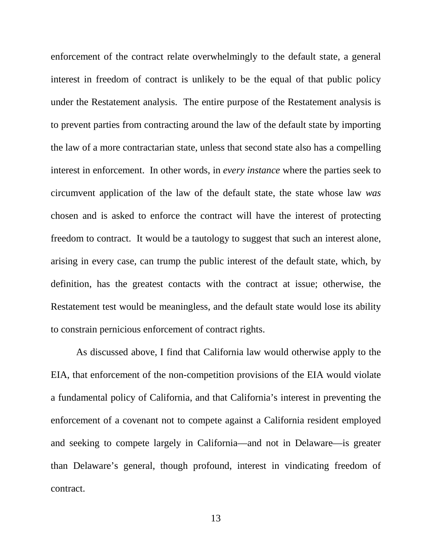enforcement of the contract relate overwhelmingly to the default state, a general interest in freedom of contract is unlikely to be the equal of that public policy under the Restatement analysis. The entire purpose of the Restatement analysis is to prevent parties from contracting around the law of the default state by importing the law of a more contractarian state, unless that second state also has a compelling interest in enforcement. In other words, in *every instance* where the parties seek to circumvent application of the law of the default state, the state whose law *was* chosen and is asked to enforce the contract will have the interest of protecting freedom to contract. It would be a tautology to suggest that such an interest alone, arising in every case, can trump the public interest of the default state, which, by definition, has the greatest contacts with the contract at issue; otherwise, the Restatement test would be meaningless, and the default state would lose its ability to constrain pernicious enforcement of contract rights.

 As discussed above, I find that California law would otherwise apply to the EIA, that enforcement of the non-competition provisions of the EIA would violate a fundamental policy of California, and that California's interest in preventing the enforcement of a covenant not to compete against a California resident employed and seeking to compete largely in California—and not in Delaware—is greater than Delaware's general, though profound, interest in vindicating freedom of contract.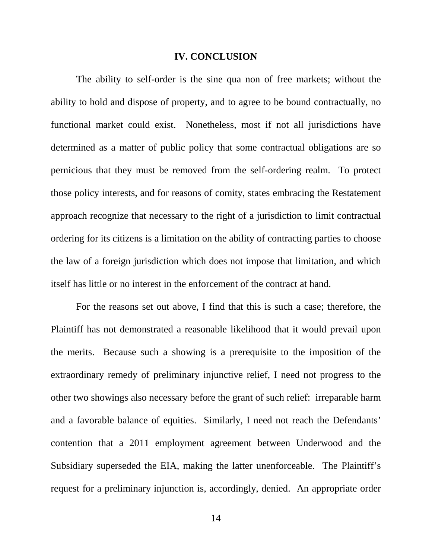#### **IV. CONCLUSION**

 The ability to self-order is the sine qua non of free markets; without the ability to hold and dispose of property, and to agree to be bound contractually, no functional market could exist. Nonetheless, most if not all jurisdictions have determined as a matter of public policy that some contractual obligations are so pernicious that they must be removed from the self-ordering realm. To protect those policy interests, and for reasons of comity, states embracing the Restatement approach recognize that necessary to the right of a jurisdiction to limit contractual ordering for its citizens is a limitation on the ability of contracting parties to choose the law of a foreign jurisdiction which does not impose that limitation, and which itself has little or no interest in the enforcement of the contract at hand.

For the reasons set out above, I find that this is such a case; therefore, the Plaintiff has not demonstrated a reasonable likelihood that it would prevail upon the merits. Because such a showing is a prerequisite to the imposition of the extraordinary remedy of preliminary injunctive relief, I need not progress to the other two showings also necessary before the grant of such relief: irreparable harm and a favorable balance of equities. Similarly, I need not reach the Defendants' contention that a 2011 employment agreement between Underwood and the Subsidiary superseded the EIA, making the latter unenforceable. The Plaintiff's request for a preliminary injunction is, accordingly, denied. An appropriate order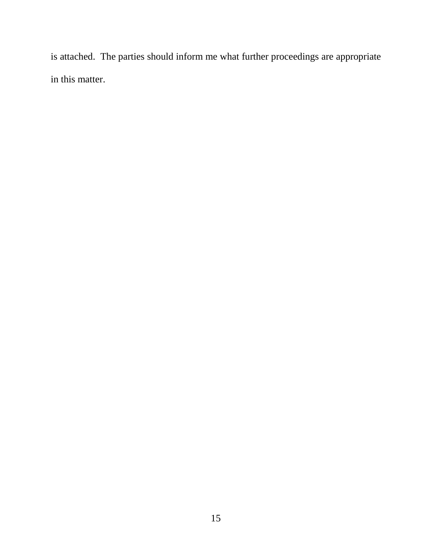is attached. The parties should inform me what further proceedings are appropriate in this matter.